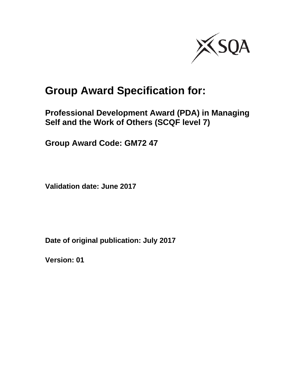

# **Group Award Specification for:**

**Professional Development Award (PDA) in Managing Self and the Work of Others (SCQF level 7)** 

**Group Award Code: GM72 47** 

**Validation date: June 2017** 

**Date of original publication: July 2017** 

**Version: 01**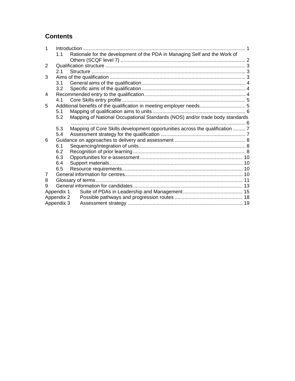## **Contents**

| 1          |            | Introduction                                                                 |  |
|------------|------------|------------------------------------------------------------------------------|--|
|            | 1.1        | Rationale for the development of the PDA in Managing Self and the Work of    |  |
|            |            |                                                                              |  |
| 2          |            |                                                                              |  |
|            | 2.1        |                                                                              |  |
| 3          |            |                                                                              |  |
|            | 3.1        |                                                                              |  |
|            | 3.2        |                                                                              |  |
| 4          |            |                                                                              |  |
|            | 4.1        |                                                                              |  |
| 5          |            | Additional benefits of the qualification in meeting employer needs 5         |  |
|            | 5.1        |                                                                              |  |
|            | 5.2        | Mapping of National Occupational Standards (NOS) and/or trade body standards |  |
|            |            |                                                                              |  |
|            | 5.3        | Mapping of Core Skills development opportunities across the qualification  7 |  |
|            | 5.4        |                                                                              |  |
| 6          |            |                                                                              |  |
|            | 6.1        |                                                                              |  |
|            | 6.2        |                                                                              |  |
|            | 6.3        |                                                                              |  |
|            | 6.4        |                                                                              |  |
|            | 6.5        |                                                                              |  |
| 7          |            |                                                                              |  |
| 8          |            |                                                                              |  |
| 9          |            |                                                                              |  |
|            | Appendix 1 |                                                                              |  |
|            | Appendix 2 |                                                                              |  |
| Appendix 3 |            |                                                                              |  |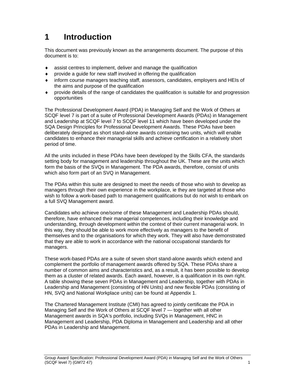# **1 Introduction**

This document was previously known as the arrangements document. The purpose of this document is to:

- assist centres to implement, deliver and manage the qualification
- provide a guide for new staff involved in offering the qualification
- inform course managers teaching staff, assessors, candidates, employers and HEIs of the aims and purpose of the qualification
- provide details of the range of candidates the qualification is suitable for and progression opportunities

The Professional Development Award (PDA) in Managing Self and the Work of Others at SCQF level 7 is part of a suite of Professional Development Awards (PDAs) in Management and Leadership at SCQF level 7 to SCQF level 11 which have been developed under the SQA Design Principles for Professional Development Awards. These PDAs have been deliberately designed as short stand-alone awards containing two units, which will enable candidates to enhance their managerial skills and achieve certification in a relatively short period of time.

All the units included in these PDAs have been developed by the Skills CFA, the standards setting body for management and leadership throughout the UK. These are the units which form the basis of the SVQs in Management. The PDA awards, therefore, consist of units which also form part of an SVQ in Management.

The PDAs within this suite are designed to meet the needs of those who wish to develop as managers through their own experience in the workplace, ie they are targeted at those who wish to follow a work-based path to management qualifications but do not wish to embark on a full SVQ Management award.

Candidates who achieve one/some of these Management and Leadership PDAs should, therefore, have enhanced their managerial competences, including their knowledge and understanding, through development within the context of their current managerial work. In this way, they should be able to work more effectively as managers to the benefit of themselves and to the organisations for which they work. They will also have demonstrated that they are able to work in accordance with the national occupational standards for managers.

These work-based PDAs are a suite of seven short stand-alone awards which extend and complement the portfolio of management awards offered by SQA. These PDAs share a number of common aims and characteristics and, as a result, it has been possible to develop them as a cluster of related awards. Each award, however, is a qualification in its own right. A table showing these seven PDAs in Management and Leadership, together with PDAs in Leadership and Management (consisting of HN Units) and new flexible PDAs (consisting of HN, SVQ and National Workplace units) can be found at Appendix 1.

The Chartered Management Institute (CMI) has agreed to jointly certificate the PDA in Managing Self and the Work of Others at SCQF level 7 — together with all other Management awards in SQA's portfolio, including SVQs in Management, HNC in Management and Leadership, PDA Diploma in Management and Leadership and all other PDAs in Leadership and Management.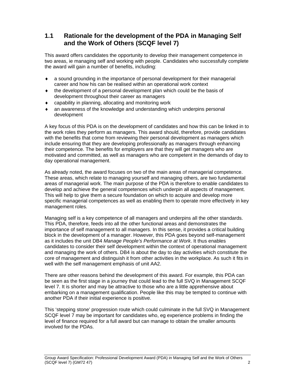## **1.1 Rationale for the development of the PDA in Managing Self and the Work of Others (SCQF level 7)**

This award offers candidates the opportunity to develop their management competence in two areas, ie managing self and working with people. Candidates who successfully complete the award will gain a number of benefits, including:

- a sound grounding in the importance of personal development for their managerial career and how his can be realised within an operational work context
- the development of a personal development plan which could be the basis of development throughout their career as managers
- capability in planning, allocating and monitoring work
- an awareness of the knowledge and understanding which underpins personal development

A key focus of this PDA is on the development of candidates and how this can be linked in to the work roles they perform as managers. This award should, therefore, provide candidates with the benefits that come from reviewing their personal development as managers which include ensuring that they are developing professionally as managers through enhancing their competence. The benefits for employers are that they will get managers who are motivated and committed, as well as managers who are competent in the demands of day to day operational management.

As already noted, the award focuses on two of the main areas of managerial competence. These areas, which relate to managing yourself and managing others, are two fundamental areas of managerial work. The main purpose of the PDA is therefore to enable candidates to develop and achieve the general competences which underpin all aspects of management. This will help to give them a secure foundation on which to acquire and develop more specific managerial competences as well as enabling them to operate more effectively in key management roles.

Managing self is a key competence of all managers and underpins all the other standards. This PDA, therefore, feeds into all the other functional areas and demonstrates the importance of self management to all managers. In this sense, it provides a critical building block in the development of a manager. However, this PDA goes beyond self-management as it includes the unit DB4 *Manage People's Performance at Work*. It thus enables candidates to consider their self development within the context of operational management and managing the work of others. DB4 is about the day to day activities which constitute the core of management and distinguish it from other activities in the workplace. As such it fits in well with the self management emphasis of unit AA2.

There are other reasons behind the development of this award. For example, this PDA can be seen as the first stage in a journey that could lead to the full SVQ in Management SCQF level 7. It is shorter and may be attractive to those who are a little apprehensive about embarking on a management qualification. People like this may be tempted to continue with another PDA if their initial experience is positive.

This 'stepping stone' progression route which could culminate in the full SVQ in Management SCQF level 7 may be important for candidates who, eg experience problems in finding the level of finance required for a full award but can manage to obtain the smaller amounts involved for the PDAs.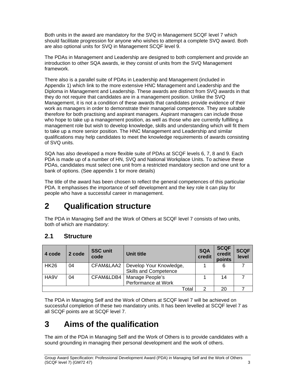Both units in the award are mandatory for the SVQ in Management SCQF level 7 which should facilitate progression for anyone who wishes to attempt a complete SVQ award. Both are also optional units for SVQ in Management SCQF level 9.

The PDAs in Management and Leadership are designed to both complement and provide an introduction to other SQA awards, ie they consist of units from the SVQ Management framework.

There also is a parallel suite of PDAs in Leadership and Management (included in Appendix 1) which link to the more extensive HNC Management and Leadership and the Diploma in Management and Leadership. These awards are distinct from SVQ awards in that they do not require that candidates are in a management position. Unlike the SVQ Management, it is not a condition of these awards that candidates provide evidence of their work as managers in order to demonstrate their managerial competence. They are suitable therefore for both practising and aspirant managers. Aspirant managers can include those who hope to take up a management position, as well as those who are currently fulfilling a management role but wish to develop knowledge, skills and understanding which will fit them to take up a more senior position. The HNC Management and Leadership and similar qualifications may help candidates to meet the knowledge requirements of awards consisting of SVQ units.

SQA has also developed a more flexible suite of PDAs at SCQF levels 6, 7, 8 and 9. Each PDA is made up of a number of HN, SVQ and National Workplace Units. To achieve these PDAs, candidates must select one unit from a restricted mandatory section and one unit for a bank of options. (See appendix 1 for more details)

The title of the award has been chosen to reflect the general competences of this particular PDA. It emphasises the importance of self development and the key role it can play for people who have a successful career in management.

# **2 Qualification structure**

The PDA in Managing Self and the Work of Others at SCQF level 7 consists of two units, both of which are mandatory:

## **2.1 Structure**

| 4 code            | 2 code | <b>SSC unit</b><br>code | Unit title                                              | <b>SQA</b><br>credit | <b>SCQF</b><br>credit<br>points | <b>SCQF</b><br>level |
|-------------------|--------|-------------------------|---------------------------------------------------------|----------------------|---------------------------------|----------------------|
| <b>HK26</b>       | 04     | CFAM&LAA2               | Develop Your Knowledge,<br><b>Skills and Competence</b> |                      | 6                               |                      |
| HA <sub>9</sub> V | 04     | CFAM&LDB4               | Manage People's<br>Performance at Work                  |                      | 14                              |                      |
|                   |        |                         | Total                                                   | 2                    | 20                              |                      |

The PDA in Managing Self and the Work of Others at SCQF level 7 will be achieved on successful completion of these two mandatory units. It has been levelled at SCQF level 7 as all SCQF points are at SCQF level 7.

# **3 Aims of the qualification**

The aim of the PDA in Managing Self and the Work of Others is to provide candidates with a sound grounding in managing their personal development and the work of others.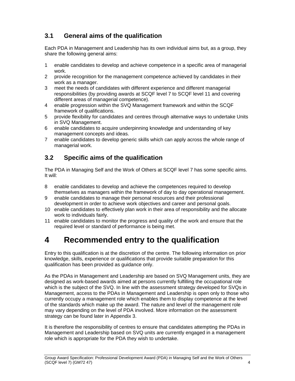## **3.1 General aims of the qualification**

Each PDA in Management and Leadership has its own individual aims but, as a group, they share the following general aims:

- 1 enable candidates to develop and achieve competence in a specific area of managerial work.
- 2 provide recognition for the management competence achieved by candidates in their work as a manager.
- 3 meet the needs of candidates with different experience and different managerial responsibilities (by providing awards at SCQF level 7 to SCQF level 11 and covering different areas of managerial competence).
- 4 enable progression within the SVQ Management framework and within the SCQF framework of qualifications.
- 5 provide flexibility for candidates and centres through alternative ways to undertake Units in SVQ Management.
- 6 enable candidates to acquire underpinning knowledge and understanding of key management concepts and ideas.
- 7 enable candidates to develop generic skills which can apply across the whole range of managerial work.

### **3.2 Specific aims of the qualification**

The PDA in Managing Self and the Work of Others at SCQF level 7 has some specific aims. It will:

- 8 enable candidates to develop and achieve the competences required to develop themselves as managers within the framework of day to day operational management.
- 9 enable candidates to manage their personal resources and their professional development in order to achieve work objectives and career and personal goals.
- 10 enable candidates to effectively plan work in their area of responsibility and the allocate work to individuals fairly.
- 11 enable candidates to monitor the progress and quality of the work and ensure that the required level or standard of performance is being met.

# **4 Recommended entry to the qualification**

Entry to this qualification is at the discretion of the centre. The following information on prior knowledge, skills, experience or qualifications that provide suitable preparation for this qualification has been provided as guidance only.

As the PDAs in Management and Leadership are based on SVQ Management units, they are designed as work-based awards aimed at persons currently fulfilling the occupational role which is the subject of the SVQ. In line with the assessment strategy developed for SVQs in Management, access to the PDAs in Management and Leadership is open only to those who currently occupy a management role which enables them to display competence at the level of the standards which make up the award. The nature and level of the management role may vary depending on the level of PDA involved. More information on the assessment strategy can be found later in Appendix 3.

It is therefore the responsibility of centres to ensure that candidates attempting the PDAs in Management and Leadership based on SVQ units are currently engaged in a management role which is appropriate for the PDA they wish to undertake.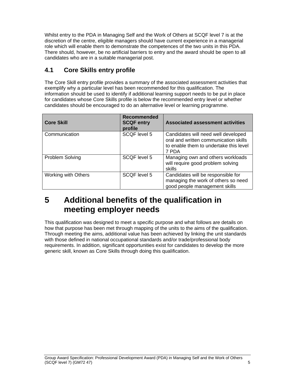Whilst entry to the PDA in Managing Self and the Work of Others at SCQF level 7 is at the discretion of the centre, eligible managers should have current experience in a managerial role which will enable them to demonstrate the competences of the two units in this PDA. There should, however, be no artificial barriers to entry and the award should be open to all candidates who are in a suitable managerial post.

## **4.1 Core Skills entry profile**

The Core Skill entry profile provides a summary of the associated assessment activities that exemplify why a particular level has been recommended for this qualification. The information should be used to identify if additional learning support needs to be put in place for candidates whose Core Skills profile is below the recommended entry level or whether candidates should be encouraged to do an alternative level or learning programme.

| <b>Core Skill</b>      | Recommended<br><b>SCQF entry</b><br>profile | <b>Associated assessment activities</b>                                                                                         |
|------------------------|---------------------------------------------|---------------------------------------------------------------------------------------------------------------------------------|
| Communication          | SCQF level 5                                | Candidates will need well developed<br>oral and written communication skills<br>to enable them to undertake this level<br>7 PDA |
| <b>Problem Solving</b> | SCOF level 5                                | Managing own and others workloads<br>will require good problem solving<br>skills                                                |
| Working with Others    | SCQF level 5                                | Candidates will be responsible for<br>managing the work of others so need<br>good people management skills                      |

# **5 Additional benefits of the qualification in meeting employer needs**

This qualification was designed to meet a specific purpose and what follows are details on how that purpose has been met through mapping of the units to the aims of the qualification. Through meeting the aims, additional value has been achieved by linking the unit standards with those defined in national occupational standards and/or trade/professional body requirements. In addition, significant opportunities exist for candidates to develop the more generic skill, known as Core Skills through doing this qualification.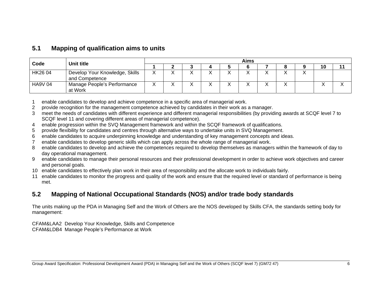#### **5.1 Mapping of qualification aims to units**

|               | <b>Unit title</b>                                | Aims |  |  |  |   |  |  |   |           |  |
|---------------|--------------------------------------------------|------|--|--|--|---|--|--|---|-----------|--|
| Code          |                                                  |      |  |  |  |   |  |  |   | 10        |  |
| HK26 04       | Develop Your Knowledge, Skills<br>and Competence |      |  |  |  | ⌒ |  |  |   |           |  |
| <b>HA9V04</b> | Manage People's Performance<br>at Work           |      |  |  |  | ↗ |  |  | ↗ | $\lambda$ |  |

1 enable candidates to develop and achieve competence in a specific area of managerial work.

- 2 provide recognition for the management competence achieved by candidates in their work as a manager.
- 3 meet the needs of candidates with different experience and different managerial responsibilities (by providing awards at SCQF level 7 to SCQF level 11 and covering different areas of managerial competence).
- 4 enable progression within the SVQ Management framework and within the SCQF framework of qualifications.
- 5 provide flexibility for candidates and centres through alternative ways to undertake units in SVQ Management.
- 6 enable candidates to acquire underpinning knowledge and understanding of key management concepts and ideas.
- 7 enable candidates to develop generic skills which can apply across the whole range of managerial work.
- 8 enable candidates to develop and achieve the competences required to develop themselves as managers within the framework of day to day operational management.
- 9 enable candidates to manage their personal resources and their professional development in order to achieve work objectives and career and personal goals.
- 10 enable candidates to effectively plan work in their area of responsibility and the allocate work to individuals fairly.
- 11 enable candidates to monitor the progress and quality of the work and ensure that the required level or standard of performance is being met.

## **5.2 Mapping of National Occupational Standards (NOS) and/or trade body standards**

The units making up the PDA in Managing Self and the Work of Others are the NOS developed by Skills CFA, the standards setting body for management:

CFAM&LAA2 Develop Your Knowledge, Skills and Competence CFAM&LDB4 Manage People's Performance at Work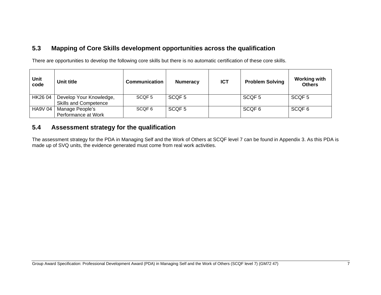### **5.3 Mapping of Core Skills development opportunities across the qualification**

There are opportunities to develop the following core skills but there is no automatic certification of these core skills.

| Unit<br>code   | Unit title                                              | <b>Communication</b> | <b>Numeracy</b>   | <b>ICT</b> | <b>Problem Solving</b> | <b>Working with</b><br><b>Others</b> |
|----------------|---------------------------------------------------------|----------------------|-------------------|------------|------------------------|--------------------------------------|
| HK26 04        | Develop Your Knowledge,<br><b>Skills and Competence</b> | SCOF 5               | SCQF <sub>5</sub> |            | SCQF <sub>5</sub>      | SCQF <sub>5</sub>                    |
| <b>HA9V 04</b> | Manage People's<br>Performance at Work                  | SCOF 6               | SCQF <sub>5</sub> |            | SCQF 6                 | SCQF <sub>6</sub>                    |

### **5.4 Assessment strategy for the qualification**

The assessment strategy for the PDA in Managing Self and the Work of Others at SCQF level 7 can be found in Appendix 3. As this PDA is made up of SVQ units, the evidence generated must come from real work activities.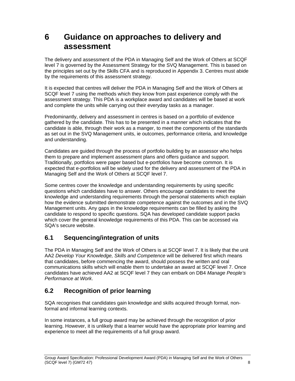# **6 Guidance on approaches to delivery and assessment**

The delivery and assessment of the PDA in Managing Self and the Work of Others at SCQF level 7 is governed by the Assessment Strategy for the SVQ Management. This is based on the principles set out by the Skills CFA and is reproduced in Appendix 3. Centres must abide by the requirements of this assessment strategy.

It is expected that centres will deliver the PDA in Managing Self and the Work of Others at SCQF level 7 using the methods which they know from past experience comply with the assessment strategy. This PDA is a workplace award and candidates will be based at work and complete the units while carrying out their everyday tasks as a manager.

Predominantly, delivery and assessment in centres is based on a portfolio of evidence gathered by the candidate. This has to be presented in a manner which indicates that the candidate is able, through their work as a manger, to meet the components of the standards as set out in the SVQ Management units, ie outcomes, performance criteria, and knowledge and understanding.

Candidates are guided through the process of portfolio building by an assessor who helps them to prepare and implement assessment plans and offers guidance and support. Traditionally, portfolios were paper based but e-portfolios have become common. It is expected that e-portfolios will be widely used for the delivery and assessment of the PDA in Managing Self and the Work of Others at SCQF level 7.

Some centres cover the knowledge and understanding requirements by using specific questions which candidates have to answer. Others encourage candidates to meet the knowledge and understanding requirements through the personal statements which explain how the evidence submitted demonstrate competence against the outcomes and in the SVQ Management units. Any gaps in the knowledge requirements can be filled by asking the candidate to respond to specific questions. SQA has developed candidate support packs which cover the general knowledge requirements of this PDA. This can be accessed via SQA's secure website.

## **6.1 Sequencing/integration of units**

The PDA in Managing Self and the Work of Others is at SCQF level 7. It is likely that the unit AA2 *Develop Your Knowledge, Skills and Competence* will be delivered first which means that candidates, before commencing the award, should possess the written and oral communications skills which will enable them to undertake an award at SCQF level 7. Once candidates have achieved AA2 at SCQF level 7 they can embark on DB4 *Manage People's Performance at Work*.

## **6.2 Recognition of prior learning**

SQA recognises that candidates gain knowledge and skills acquired through formal, nonformal and informal learning contexts.

In some instances, a full group award may be achieved through the recognition of prior learning. However, it is unlikely that a learner would have the appropriate prior learning and experience to meet all the requirements of a full group award.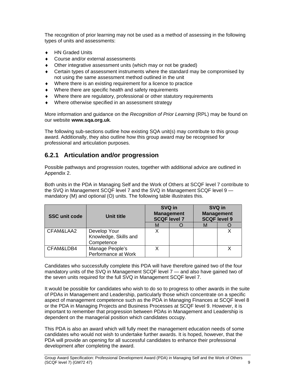The recognition of prior learning may not be used as a method of assessing in the following types of units and assessments:

- ◆ HN Graded Units
- ◆ Course and/or external assessments
- Other integrative assessment units (which may or not be graded)
- Certain types of assessment instruments where the standard may be compromised by not using the same assessment method outlined in the unit
- Where there is an existing requirement for a licence to practice
- Where there are specific health and safety requirements
- Where there are regulatory, professional or other statutory requirements
- Where otherwise specified in an assessment strategy

More information and guidance on the *Recognition of Prior Learning* (RPL) may be found on our website **www.sqa.org.uk**.

The following sub-sections outline how existing SQA unit(s) may contribute to this group award. Additionally, they also outline how this group award may be recognised for professional and articulation purposes.

## **6.2.1 Articulation and/or progression**

Possible pathways and progression routes, together with additional advice are outlined in Appendix 2.

Both units in the PDA in Managing Self and the Work of Others at SCQF level 7 contribute to the SVQ in Management SCQF level 7 and the SVQ in Management SCQF level 9 mandatory (M) and optional (O) units. The following table illustrates this.

| <b>SSC unit code</b> | Unit title                                          |   | SVQ in<br><b>Management</b><br><b>SCQF level 7</b> | SVQ in<br><b>Management</b><br><b>SCQF level 9</b> |  |  |
|----------------------|-----------------------------------------------------|---|----------------------------------------------------|----------------------------------------------------|--|--|
|                      |                                                     | M |                                                    |                                                    |  |  |
| CFAM&LAA2            | Develop Your<br>Knowledge, Skills and<br>Competence |   |                                                    |                                                    |  |  |
| CFAM&LDB4            | Manage People's<br>Performance at Work              |   |                                                    |                                                    |  |  |

Candidates who successfully complete this PDA will have therefore gained two of the four mandatory units of the SVQ in Management SCQF level 7 — and also have gained two of the seven units required for the full SVQ in Management SCQF level 7.

It would be possible for candidates who wish to do so to progress to other awards in the suite of PDAs in Management and Leadership, particularly those which concentrate on a specific aspect of management competence such as the PDA in Managing Finances at SCQF level 8 or the PDA in Managing Projects and Business Processes at SCQF level 9. However, it is important to remember that progression between PDAs in Management and Leadership is dependent on the managerial position which candidates occupy.

This PDA is also an award which will fully meet the management education needs of some candidates who would not wish to undertake further awards. It is hoped, however, that the PDA will provide an opening for all successful candidates to enhance their professional development after completing the award.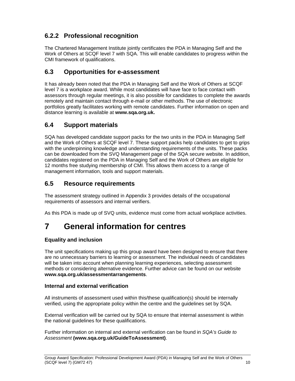## **6.2.2 Professional recognition**

The Chartered Management Institute jointly certificates the PDA in Managing Self and the Work of Others at SCQF level 7 with SQA. This will enable candidates to progress within the CMI framework of qualifications.

## **6.3 Opportunities for e-assessment**

It has already been noted that the PDA in Managing Self and the Work of Others at SCQF level 7 is a workplace award. While most candidates will have face to face contact with assessors through regular meetings, it is also possible for candidates to complete the awards remotely and maintain contact through e-mail or other methods. The use of electronic portfolios greatly facilitates working with remote candidates. Further information on open and distance learning is available at **www.sqa.org.uk.** 

## **6.4 Support materials**

SQA has developed candidate support packs for the two units in the PDA in Managing Self and the Work of Others at SCQF level 7. These support packs help candidates to get to grips with the underpinning knowledge and understanding requirements of the units. These packs can be downloaded from the SVQ Management page of the SQA secure website. In addition, candidates registered on the PDA in Managing Self and the Work of Others are eligible for 12 months free studying membership of CMI. This allows them access to a range of management information, tools and support materials.

## **6.5 Resource requirements**

The assessment strategy outlined in Appendix 3 provides details of the occupational requirements of assessors and internal verifiers.

As this PDA is made up of SVQ units, evidence must come from actual workplace activities.

# **7 General information for centres**

#### **Equality and inclusion**

The unit specifications making up this group award have been designed to ensure that there are no unnecessary barriers to learning or assessment. The individual needs of candidates will be taken into account when planning learning experiences, selecting assessment methods or considering alternative evidence. Further advice can be found on our website **www.sqa.org.uk/assessmentarrangements**.

#### **Internal and external verification**

All instruments of assessment used within this/these qualification(s) should be internally verified, using the appropriate policy within the centre and the guidelines set by SQA.

External verification will be carried out by SQA to ensure that internal assessment is within the national guidelines for these qualifications.

Further information on internal and external verification can be found in *SQA's Guide to Assessment* **(www.sqa.org.uk/GuideToAssessment)**.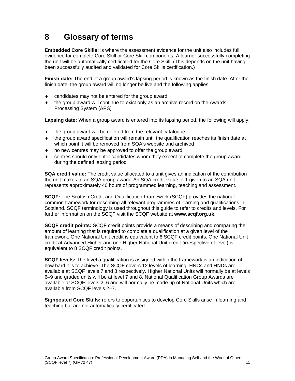# **8 Glossary of terms**

**Embedded Core Skills:** is where the assessment evidence for the unit also includes full evidence for complete Core Skill or Core Skill components. A learner successfully completing the unit will be automatically certificated for the Core Skill. (This depends on the unit having been successfully audited and validated for Core Skills certification.)

**Finish date:** The end of a group award's lapsing period is known as the finish date. After the finish date, the group award will no longer be live and the following applies:

- candidates may not be entered for the group award
- the group award will continue to exist only as an archive record on the Awards Processing System (APS)

**Lapsing date:** When a group award is entered into its lapsing period, the following will apply:

- $\bullet$  the group award will be deleted from the relevant catalogue
- the group award specification will remain until the qualification reaches its finish date at which point it will be removed from SQA's website and archived
- no new centres may be approved to offer the group award
- centres should only enter candidates whom they expect to complete the group award during the defined lapsing period

**SQA credit value:** The credit value allocated to a unit gives an indication of the contribution the unit makes to an SQA group award. An SQA credit value of 1 given to an SQA unit represents approximately 40 hours of programmed learning, teaching and assessment.

**SCQF:** The Scottish Credit and Qualification Framework (SCQF) provides the national common framework for describing all relevant programmes of learning and qualifications in Scotland. SCQF terminology is used throughout this guide to refer to credits and levels. For further information on the SCQF visit the SCQF website at **www.scqf.org.uk**.

**SCQF credit points:** SCQF credit points provide a means of describing and comparing the amount of learning that is required to complete a qualification at a given level of the framework. One National Unit credit is equivalent to 6 SCQF credit points. One National Unit credit at Advanced Higher and one Higher National Unit credit (irrespective of level) is equivalent to 8 SCQF credit points.

**SCQF levels:** The level a qualification is assigned within the framework is an indication of how hard it is to achieve. The SCQF covers 12 levels of learning. HNCs and HNDs are available at SCQF levels 7 and 8 respectively. Higher National Units will normally be at levels 6–9 and graded units will be at level 7 and 8. National Qualification Group Awards are available at SCQF levels 2–6 and will normally be made up of National Units which are available from SCQF levels 2–7.

**Signposted Core Skills:** refers to opportunities to develop Core Skills arise in learning and teaching but are not automatically certificated.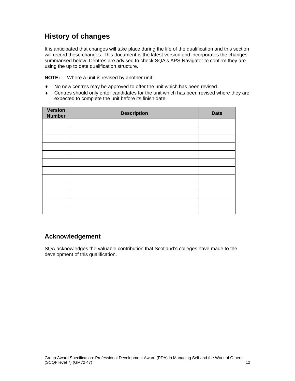## **History of changes**

It is anticipated that changes will take place during the life of the qualification and this section will record these changes. This document is the latest version and incorporates the changes summarised below. Centres are advised to check SQA's APS Navigator to confirm they are using the up to date qualification structure.

**NOTE:** Where a unit is revised by another unit:

- No new centres may be approved to offer the unit which has been revised.
- Centres should only enter candidates for the unit which has been revised where they are expected to complete the unit before its finish date.

| <b>Version</b><br><b>Number</b> | <b>Description</b> | <b>Date</b> |
|---------------------------------|--------------------|-------------|
|                                 |                    |             |
|                                 |                    |             |
|                                 |                    |             |
|                                 |                    |             |
|                                 |                    |             |
|                                 |                    |             |
|                                 |                    |             |
|                                 |                    |             |
|                                 |                    |             |
|                                 |                    |             |
|                                 |                    |             |
|                                 |                    |             |

### **Acknowledgement**

SQA acknowledges the valuable contribution that Scotland's colleges have made to the development of this qualification.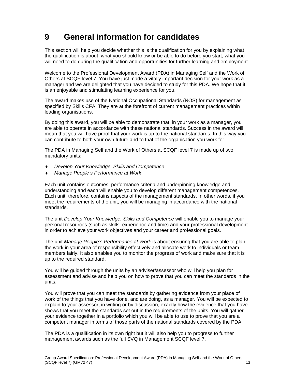# **9 General information for candidates**

This section will help you decide whether this is the qualification for you by explaining what the qualification is about, what you should know or be able to do before you start, what you will need to do during the qualification and opportunities for further learning and employment.

Welcome to the Professional Development Award (PDA) in Managing Self and the Work of Others at SCQF level 7. You have just made a vitally important decision for your work as a manager and we are delighted that you have decided to study for this PDA. We hope that it is an enjoyable and stimulating learning experience for you.

The award makes use of the National Occupational Standards (NOS) for management as specified by Skills CFA. They are at the forefront of current management practices within leading organisations.

By doing this award, you will be able to demonstrate that, in your work as a manager, you are able to operate in accordance with these national standards. Success in the award will mean that you will have proof that your work is up to the national standards. In this way you can contribute to both your own future and to that of the organisation you work for.

The PDA in Managing Self and the Work of Others at SCQF level 7 is made up of two mandatory units:

- *Develop Your Knowledge, Skills and Competence*
- *Manage People's Performance at Work*

Each unit contains outcomes, performance criteria and underpinning knowledge and understanding and each will enable you to develop different management competences. Each unit, therefore, contains aspects of the management standards. In other words, if you meet the requirements of the unit, you will be managing in accordance with the national standards.

The unit *Develop Your Knowledge, Skills and Competence* will enable you to manage your personal resources (such as skills, experience and time) and your professional development in order to achieve your work objectives and your career and professional goals.

The unit *Manage People's Performance at Work* is about ensuring that you are able to plan the work in your area of responsibility effectively and allocate work to individuals or team members fairly. It also enables you to monitor the progress of work and make sure that it is up to the required standard.

You will be guided through the units by an adviser/assessor who will help you plan for assessment and advise and help you on how to prove that you can meet the standards in the units.

You will prove that you can meet the standards by gathering evidence from your place of work of the things that you have done, and are doing, as a manager. You will be expected to explain to your assessor, in writing or by discussion, exactly how the evidence that you have shows that you meet the standards set out in the requirements of the units. You will gather your evidence together in a portfolio which you will be able to use to prove that you are a competent manager in terms of those parts of the national standards covered by the PDA.

The PDA is a qualification in its own right but it will also help you to progress to further management awards such as the full SVQ in Management SCQF level 7.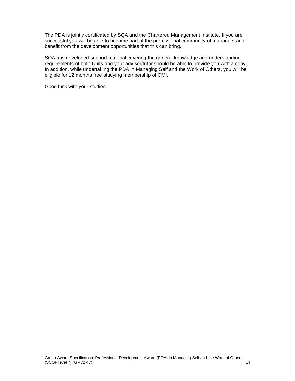The PDA is jointly certificated by SQA and the Chartered Management Institute. If you are successful you will be able to become part of the professional community of managers and benefit from the development opportunities that this can bring.

SQA has developed support material covering the general knowledge and understanding requirements of both Units and your adviser/tutor should be able to provide you with a copy. In addition, while undertaking the PDA in Managing Self and the Work of Others, you will be eligible for 12 months free studying membership of CMI.

Good luck with your studies.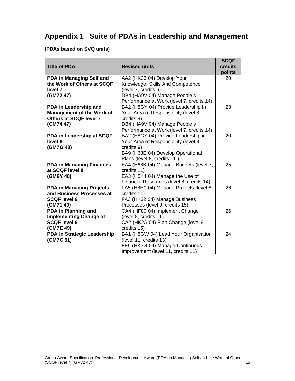## **Appendix 1 Suite of PDAs in Leadership and Management**

#### **(PDAs based on SVQ units)**

|                                  |                                           | <b>SCQF</b> |
|----------------------------------|-------------------------------------------|-------------|
| <b>Title of PDA</b>              | <b>Revised units</b>                      | credits     |
|                                  |                                           | points      |
| PDA in Managing Self and         | AA2 (HK26 04) Develop Your                | 20          |
| the Work of Others at SCQF       | Knowledge, Skills And Competence          |             |
| level 7                          | (level 7, credits 6)                      |             |
| (GM72 47)                        | DB4 (HA9V 04) Manage People's             |             |
|                                  | Performance at Work (level 7, credits 14) |             |
| PDA in Leadership and            | BA2 (H8GY 04) Provide Leadership In       | 23          |
| <b>Management of the Work of</b> | Your Area of Responsibility (level 8,     |             |
| Others at SCQF level 7           | credits 9)                                |             |
| (GM74 47)                        | DB4 (HA9V 04) Manage People's             |             |
|                                  | Performance at Work (level 7, credits 14) |             |
| PDA in Leadership at SCQF        | BA2 (H8GY 04) Provide Leadership in       | 20          |
| level 8                          | Your Area of Responsibility (level 8,     |             |
| (GM7G 48)                        | credits 9)                                |             |
|                                  | BA9 (H68E 04) Develop Operational         |             |
|                                  | Plans (level 8, credits 11)               |             |
| <b>PDA in Managing Finances</b>  | EA4 (H68K 04) Manage Budgets (level 7,    | 25          |
| at SCQF level 8                  | credits 11)                               |             |
| (GM6Y 48)                        | EA3 (H5K4 04) Manage the Use of           |             |
|                                  | Financial Resources (level 8, credits 14) |             |
| <b>PDA in Managing Projects</b>  | FA5 (H8H0 04) Manage Projects (level 8,   | 26          |
| and Business Processes at        | credits 11)                               |             |
| <b>SCQF level 9</b>              | FA3 (HK32 04) Manage Business             |             |
| (GM71 49)                        | Processes (level 9, credits 15)           |             |
| PDA in Planning and              | CA4 (HF80 04) Implement Change            | 26          |
| <b>Implementing Change at</b>    | (level 8, credits 11)                     |             |
| <b>SCQF level 9</b>              | CA2 (HK2A 04) Plan Change (level 9,       |             |
| (GM7E 49)                        | credits 15)                               |             |
| PDA in Strategic Leadership      | BA1 (H8GW 04) Lead Your Organisation      | 24          |
| (GM7C 51)                        | (level 11, credits 13)                    |             |
|                                  | FE5 (HK3G 04) Manage Continuous           |             |
|                                  | Improvement (level 11, credits 11)        |             |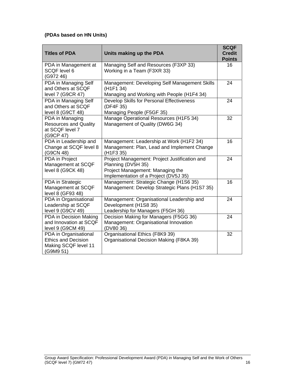#### **(PDAs based on HN Units)**

| <b>Titles of PDA</b>                                                                     | Units making up the PDA                                                                                                                          | <b>SCQF</b><br><b>Credit</b> |
|------------------------------------------------------------------------------------------|--------------------------------------------------------------------------------------------------------------------------------------------------|------------------------------|
| PDA in Management at<br>SCQF level 6<br>(G972 46)                                        | Managing Self and Resources (F3XP 33)<br>Working in a Team (F3XR 33)                                                                             | <b>Points</b><br>16          |
| PDA in Managing Self<br>and Others at SCQF<br>level 7 (G9CR 47)                          | Management: Developing Self Management Skills<br>(H <sub>1F1</sub> 34)<br>Managing and Working with People (H1F4 34)                             | 24                           |
| PDA in Managing Self<br>and Others at SCQF<br>level 8 (G9CT 48)                          | Develop Skills for Personal Effectiveness<br>(DF4F 35)<br>Managing People (F5GF 35)                                                              | 24                           |
| PDA in Managing<br><b>Resources and Quality</b><br>at SCQF level 7<br>(G9CP 47)          | Manage Operational Resources (H1F5 34)<br>Management of Quality (DW6G 34)                                                                        | 32                           |
| PDA in Leadership and<br>Change at SCQF level 8<br>(G9CN 48)                             | Management: Leadership at Work (H1F2 34)<br>Management: Plan, Lead and Implement Change<br>(H <sub>1F3</sub> 35)                                 | 16                           |
| PDA in Project<br>Management at SCQF<br>level 8 (G9CK 48)                                | Project Management: Project Justification and<br>Planning (DV5H 35)<br>Project Management: Managing the<br>Implementation of a Project (DV5J 35) | 24                           |
| PDA in Strategic<br>Management at SCQF<br>level 8 (GF93 48)                              | Management: Strategic Change (H1S6 35)<br>Management: Develop Strategic Plans (H1S7 35)                                                          | 16                           |
| PDA in Organisational<br>Leadership at SCQF<br>level 9 (G9CV 49)                         | Management: Organisational Leadership and<br>Development (H1S8 35)<br>Leadership for Managers (F5GH 36)                                          | 24                           |
| PDA in Decision Making<br>and Innovation at SCQF<br>level 9 (G9CM 49)                    | Decision Making for Managers (F5GG 36)<br>Management: Organisational Innovation<br>(DV80 36)                                                     | 24                           |
| PDA in Organisational<br><b>Ethics and Decision</b><br>Making SCQF level 11<br>(G9M9 51) | Organisational Ethics (F8K9 39)<br>Organisational Decision Making (F8KA 39)                                                                      | 32                           |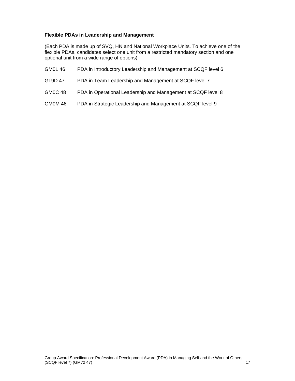#### **Flexible PDAs in Leadership and Management**

(Each PDA is made up of SVQ, HN and National Workplace Units. To achieve one of the flexible PDAs, candidates select one unit from a restricted mandatory section and one optional unit from a wide range of options)

- GM0L 46 PDA in Introductory Leadership and Management at SCQF level 6
- GL9D 47 PDA in Team Leadership and Management at SCQF level 7
- GM0C 48 PDA in Operational Leadership and Management at SCQF level 8
- GM0M 46 PDA in Strategic Leadership and Management at SCQF level 9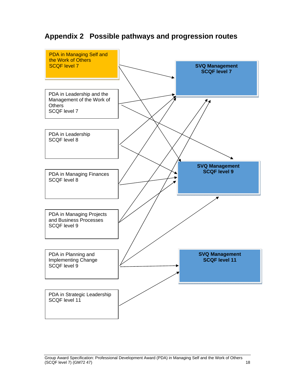## **Appendix 2 Possible pathways and progression routes**

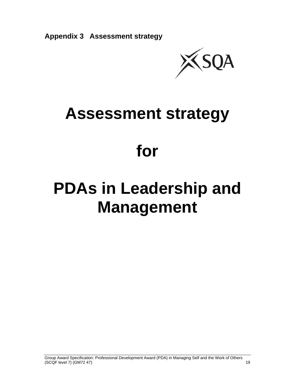

# **Assessment strategy**

# **for**

# **PDAs in Leadership and Management**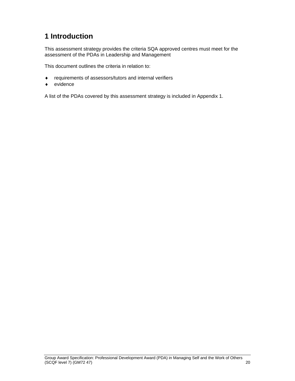## **1 Introduction**

This assessment strategy provides the criteria SQA approved centres must meet for the assessment of the PDAs in Leadership and Management

This document outlines the criteria in relation to:

- requirements of assessors/tutors and internal verifiers
- ◆ evidence

A list of the PDAs covered by this assessment strategy is included in Appendix 1.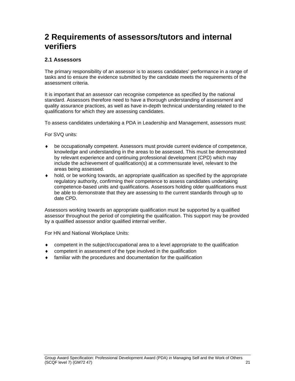# **2 Requirements of assessors/tutors and internal verifiers**

#### **2.1 Assessors**

The primary responsibility of an assessor is to assess candidates' performance in a range of tasks and to ensure the evidence submitted by the candidate meets the requirements of the assessment criteria.

It is important that an assessor can recognise competence as specified by the national standard. Assessors therefore need to have a thorough understanding of assessment and quality assurance practices, as well as have in-depth technical understanding related to the qualifications for which they are assessing candidates.

To assess candidates undertaking a PDA in Leadership and Management, assessors must:

For SVQ units:

- be occupationally competent. Assessors must provide current evidence of competence, knowledge and understanding in the areas to be assessed. This must be demonstrated by relevant experience and continuing professional development (CPD) which may include the achievement of qualification(s) at a commensurate level, relevant to the areas being assessed.
- hold, or be working towards, an appropriate qualification as specified by the appropriate regulatory authority, confirming their competence to assess candidates undertaking competence-based units and qualifications. Assessors holding older qualifications must be able to demonstrate that they are assessing to the current standards through up to date CPD.

Assessors working towards an appropriate qualification must be supported by a qualified assessor throughout the period of completing the qualification. This support may be provided by a qualified assessor and/or qualified internal verifier.

For HN and National Workplace Units:

- competent in the subject/occupational area to a level appropriate to the qualification
- competent in assessment of the type involved in the qualification
- familiar with the procedures and documentation for the qualification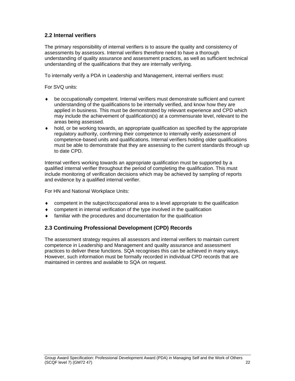#### **2.2 Internal verifiers**

The primary responsibility of internal verifiers is to assure the quality and consistency of assessments by assessors. Internal verifiers therefore need to have a thorough understanding of quality assurance and assessment practices, as well as sufficient technical understanding of the qualifications that they are internally verifying.

To internally verify a PDA in Leadership and Management, internal verifiers must:

For SVQ units:

- be occupationally competent. Internal verifiers must demonstrate sufficient and current understanding of the qualifications to be internally verified, and know how they are applied in business. This must be demonstrated by relevant experience and CPD which may include the achievement of qualification(s) at a commensurate level, relevant to the areas being assessed.
- $\bullet$  hold, or be working towards, an appropriate qualification as specified by the appropriate regulatory authority, confirming their competence to internally verify assessment of competence-based units and qualifications. Internal verifiers holding older qualifications must be able to demonstrate that they are assessing to the current standards through up to date CPD.

Internal verifiers working towards an appropriate qualification must be supported by a qualified internal verifier throughout the period of completing the qualification. This must include monitoring of verification decisions which may be achieved by sampling of reports and evidence by a qualified internal verifier.

For HN and National Workplace Units:

- competent in the subject/occupational area to a level appropriate to the qualification
- competent in internal verification of the type involved in the qualification
- familiar with the procedures and documentation for the qualification

#### **2.3 Continuing Professional Development (CPD) Records**

The assessment strategy requires all assessors and internal verifiers to maintain current competence in Leadership and Management and quality assurance and assessment practices to deliver these functions. SQA recognises this can be achieved in many ways. However, such information must be formally recorded in individual CPD records that are maintained in centres and available to SQA on request.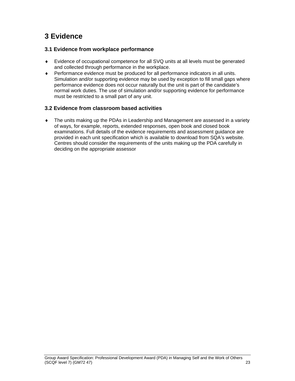## **3 Evidence**

#### **3.1 Evidence from workplace performance**

- Evidence of occupational competence for all SVQ units at all levels must be generated and collected through performance in the workplace.
- Performance evidence must be produced for all performance indicators in all units. Simulation and/or supporting evidence may be used by exception to fill small gaps where performance evidence does not occur naturally but the unit is part of the candidate's normal work duties. The use of simulation and/or supporting evidence for performance must be restricted to a small part of any unit.

#### **3.2 Evidence from classroom based activities**

 The units making up the PDAs in Leadership and Management are assessed in a variety of ways, for example, reports, extended responses, open book and closed book examinations. Full details of the evidence requirements and assessment guidance are provided in each unit specification which is available to download from SQA's website. Centres should consider the requirements of the units making up the PDA carefully in deciding on the appropriate assessor